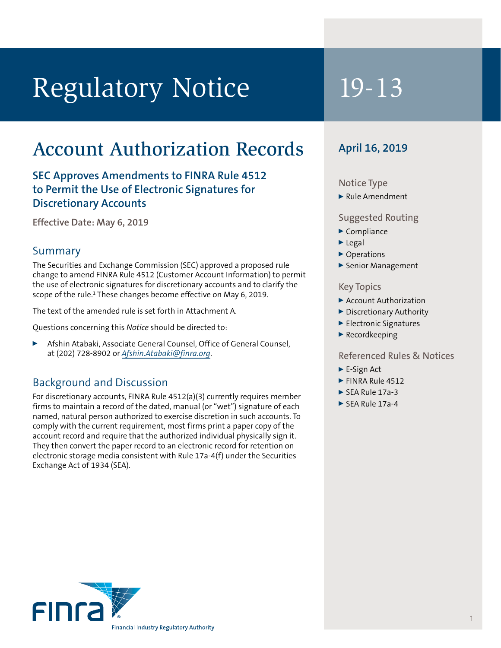# Regulatory Notice 19-13

## Account Authorization Records

**SEC Approves Amendments to FINRA Rule 4512 to Permit the Use of Electronic Signatures for Discretionary Accounts**

**Effective Date: May 6, 2019**

#### Summary

The Securities and Exchange Commission (SEC) approved a proposed rule change to amend FINRA Rule 4512 (Customer Account Information) to permit the use of electronic signatures for discretionary accounts and to clarify the scope of the rule.<sup>1</sup> These changes become effective on May 6, 2019.

The text of the amended rule is set forth in Attachment A.

Questions concerning this *Notice* should be directed to:

<sup>0</sup> Afshin Atabaki, Associate General Counsel, Office of General Counsel, at (202) 728-8902 or *Afshin.Atabaki@finra.org*.

#### Background and Discussion

For discretionary accounts, FINRA Rule 4512(a)(3) currently requires member firms to maintain a record of the dated, manual (or "wet") signature of each named, natural person authorized to exercise discretion in such accounts. To comply with the current requirement, most firms print a paper copy of the account record and require that the authorized individual physically sign it. They then convert the paper record to an electronic record for retention on electronic storage media consistent with Rule 17a-4(f) under the Securities Exchange Act of 1934 (SEA).

### **April 16, 2019**

#### Notice Type

 $\blacktriangleright$  Rule Amendment

#### Suggested Routing

- $\blacktriangleright$  Compliance
- $\blacktriangleright$  Legal
- ▶ Operations
- Senior Management

#### Key Topics

- ▶ Account Authorization
- Discretionary Authority
- Electronic Signatures
- $\blacktriangleright$  Recordkeeping

#### Referenced Rules & Notices

- $\blacktriangleright$  E-Sign Act
- $\blacktriangleright$  FINRA Rule 4512
- $\triangleright$  SEA Rule 17a-3
- $\triangleright$  SEA Rule 17a-4

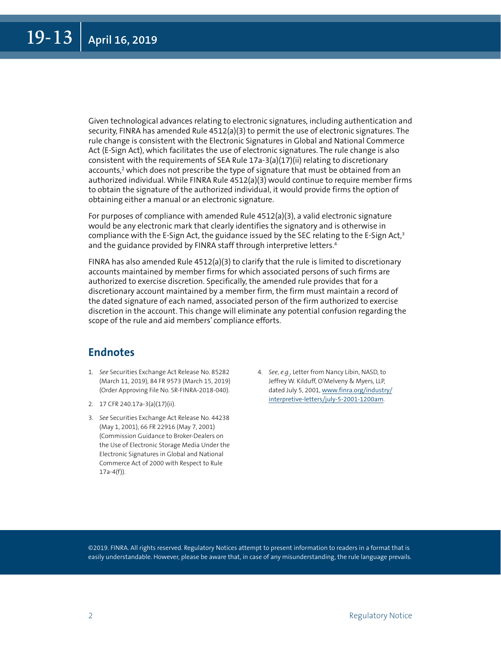Given technological advances relating to electronic signatures, including authentication and security, FINRA has amended Rule 4512(a)(3) to permit the use of electronic signatures. The rule change is consistent with the Electronic Signatures in Global and National Commerce Act (E-Sign Act), which facilitates the use of electronic signatures. The rule change is also consistent with the requirements of SEA Rule 17a-3(a)(17)(ii) relating to discretionary accounts,<sup>2</sup> which does not prescribe the type of signature that must be obtained from an authorized individual. While FINRA Rule 4512(a)(3) would continue to require member firms to obtain the signature of the authorized individual, it would provide firms the option of obtaining either a manual or an electronic signature.

For purposes of compliance with amended Rule 4512(a)(3), a valid electronic signature would be any electronic mark that clearly identifies the signatory and is otherwise in compliance with the E-Sign Act, the guidance issued by the SEC relating to the E-Sign Act,<sup>3</sup> and the guidance provided by FINRA staff through interpretive letters.<sup>4</sup>

FINRA has also amended Rule  $4512(a)(3)$  to clarify that the rule is limited to discretionary accounts maintained by member firms for which associated persons of such firms are authorized to exercise discretion. Specifically, the amended rule provides that for a discretionary account maintained by a member firm, the firm must maintain a record of the dated signature of each named, associated person of the firm authorized to exercise discretion in the account. This change will eliminate any potential confusion regarding the scope of the rule and aid members' compliance efforts.

#### **Endnotes**

- 1. See Securities Exchange Act Release No. 85282 (March 11, 2019), 84 FR 9573 (March 15, 2019) (Order Approving File No. SR-FINRA-2018-040).
- 2. 17 CFR 240.17a-3(a)(17)(ii).
- 3. *See* Securities Exchange Act Release No. 44238 (May 1, 2001), 66 FR 22916 (May 7, 2001) (Commission Guidance to Broker-Dealers on the Use of Electronic Storage Media Under the Electronic Signatures in Global and National Commerce Act of 2000 with Respect to Rule 17a-4(f)).
- 4. *See*, *e.g.*, Letter from Nancy Libin, NASD, to Jeffrey W. Kilduff, O'Melveny & Myers, LLP, dated July 5, 2001, www.finra.org/industry/ interpretive-letters/july-5-2001-1200am.

©2019. FINRA. All rights reserved. Regulatory Notices attempt to present information to readers in a format that is easily understandable. However, please be aware that, in case of any misunderstanding, the rule language prevails.